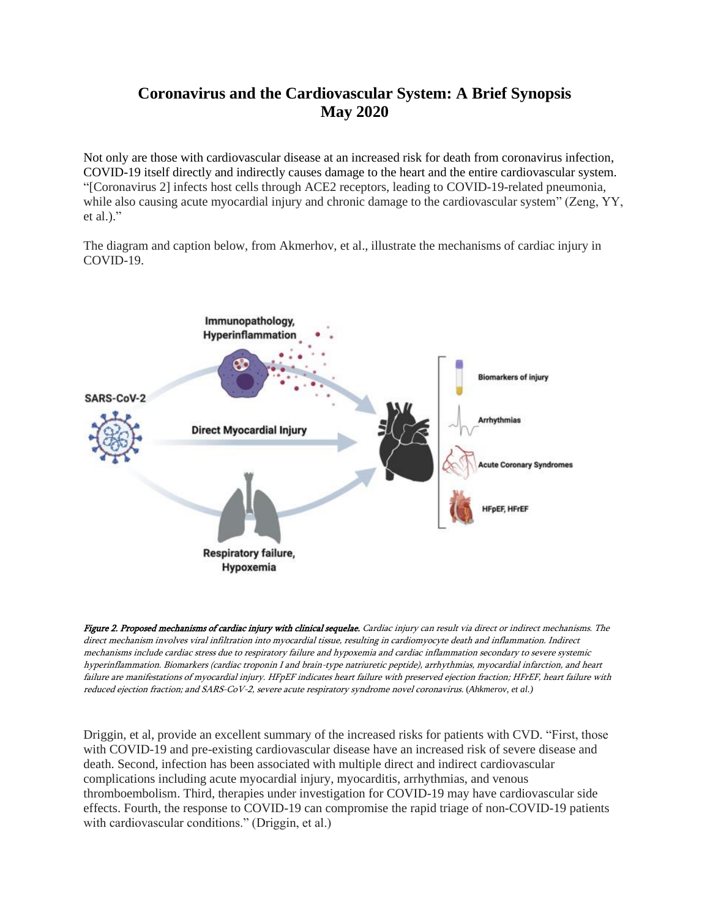## **Coronavirus and the Cardiovascular System: A Brief Synopsis May 2020**

Not only are those with cardiovascular disease at an increased risk for death from coronavirus infection, COVID-19 itself directly and indirectly causes damage to the heart and the entire cardiovascular system. "[Coronavirus 2] infects host cells through ACE2 receptors, leading to COVID-19-related pneumonia, while also causing acute myocardial injury and chronic damage to the cardiovascular system" (Zeng, YY, et al.)."

The diagram and caption below, from Akmerhov, et al., illustrate the mechanisms of cardiac injury in COVID-19.



Figure 2. Proposed mechanisms of cardiac injury with clinical sequelae. Cardiac injury can result via direct or indirect mechanisms. The direct mechanism involves viral infiltration into myocardial tissue, resulting in cardiomyocyte death and inflammation. Indirect mechanisms include cardiac stress due to respiratory failure and hypoxemia and cardiac inflammation secondary to severe systemic hyperinflammation. Biomarkers (cardiac troponin I and brain-type natriuretic peptide), arrhythmias, myocardial infarction, and heart failure are manifestations of myocardial injury. HFpEF indicates heart failure with preserved ejection fraction; HFrEF, heart failure with reduced ejection fraction; and SARS-CoV-2, severe acute respiratory syndrome novel coronavirus. (*Ahkmerov, et al.)*

Driggin, et al, provide an excellent summary of the increased risks for patients with CVD. "First, those with COVID-19 and pre-existing cardiovascular disease have an increased risk of severe disease and death. Second, infection has been associated with multiple direct and indirect cardiovascular complications including acute myocardial injury, myocarditis, arrhythmias, and venous thromboembolism. Third, therapies under investigation for COVID-19 may have cardiovascular side effects. Fourth, the response to COVID-19 can compromise the rapid triage of non-COVID-19 patients with cardiovascular conditions." (Driggin, et al.)